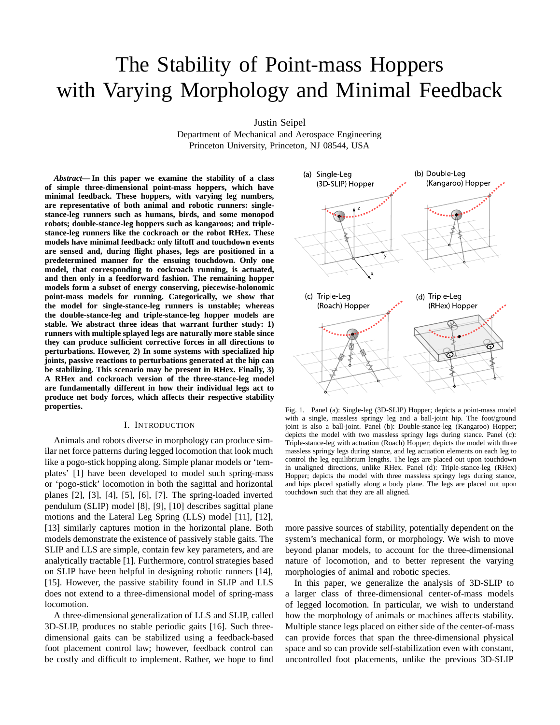# The Stability of Point-mass Hoppers with Varying Morphology and Minimal Feedback

Justin Seipel

Department of Mechanical and Aerospace Engineering Princeton University, Princeton, NJ 08544, USA

*Abstract***— In this paper we examine the stability of a class of simple three-dimensional point-mass hoppers, which have minimal feedback. These hoppers, with varying leg numbers, are representative of both animal and robotic runners: singlestance-leg runners such as humans, birds, and some monopod robots; double-stance-leg hoppers such as kangaroos; and triplestance-leg runners like the cockroach or the robot RHex. These models have minimal feedback: only liftoff and touchdown events are sensed and, during flight phases, legs are positioned in a predetermined manner for the ensuing touchdown. Only one model, that corresponding to cockroach running, is actuated, and then only in a feedforward fashion. The remaining hopper models form a subset of energy conserving, piecewise-holonomic point-mass models for running. Categorically, we show that the model for single-stance-leg runners is unstable; whereas the double-stance-leg and triple-stance-leg hopper models are stable. We abstract three ideas that warrant further study: 1) runners with multiple splayed legs are naturally more stable since they can produce sufficient corrective forces in all directions to perturbations. However, 2) In some systems with specialized hip joints, passive reactions to perturbations generated at the hip can be stabilizing. This scenario may be present in RHex. Finally, 3) A RHex and cockroach version of the three-stance-leg model are fundamentally different in how their individual legs act to produce net body forces, which affects their respective stability properties.**

### I. INTRODUCTION

Animals and robots diverse in morphology can produce similar net force patterns during legged locomotion that look much like a pogo-stick hopping along. Simple planar models or 'templates' [1] have been developed to model such spring-mass or 'pogo-stick' locomotion in both the sagittal and horizontal planes [2], [3], [4], [5], [6], [7]. The spring-loaded inverted pendulum (SLIP) model [8], [9], [10] describes sagittal plane motions and the Lateral Leg Spring (LLS) model [11], [12], [13] similarly captures motion in the horizontal plane. Both models demonstrate the existence of passively stable gaits. The SLIP and LLS are simple, contain few key parameters, and are analytically tractable [1]. Furthermore, control strategies based on SLIP have been helpful in designing robotic runners [14], [15]. However, the passive stability found in SLIP and LLS does not extend to a three-dimensional model of spring-mass locomotion.

A three-dimensional generalization of LLS and SLIP, called 3D-SLIP, produces no stable periodic gaits [16]. Such threedimensional gaits can be stabilized using a feedback-based foot placement control law; however, feedback control can be costly and difficult to implement. Rather, we hope to find



Fig. 1. Panel (a): Single-leg (3D-SLIP) Hopper; depicts a point-mass model with a single, massless springy leg and a ball-joint hip. The foot/ground joint is also a ball-joint. Panel (b): Double-stance-leg (Kangaroo) Hopper; depicts the model with two massless springy legs during stance. Panel (c): Triple-stance-leg with actuation (Roach) Hopper; depicts the model with three massless springy legs during stance, and leg actuation elements on each leg to control the leg equilibrium lengths. The legs are placed out upon touchdown in unaligned directions, unlike RHex. Panel (d): Triple-stance-leg (RHex) Hopper; depicts the model with three massless springy legs during stance, and hips placed spatially along a body plane. The legs are placed out upon touchdown such that they are all aligned.

more passive sources of stability, potentially dependent on the system's mechanical form, or morphology. We wish to move beyond planar models, to account for the three-dimensional nature of locomotion, and to better represent the varying morphologies of animal and robotic species.

In this paper, we generalize the analysis of 3D-SLIP to a larger class of three-dimensional center-of-mass models of legged locomotion. In particular, we wish to understand how the morphology of animals or machines affects stability. Multiple stance legs placed on either side of the center-of-mass can provide forces that span the three-dimensional physical space and so can provide self-stabilization even with constant, uncontrolled foot placements, unlike the previous 3D-SLIP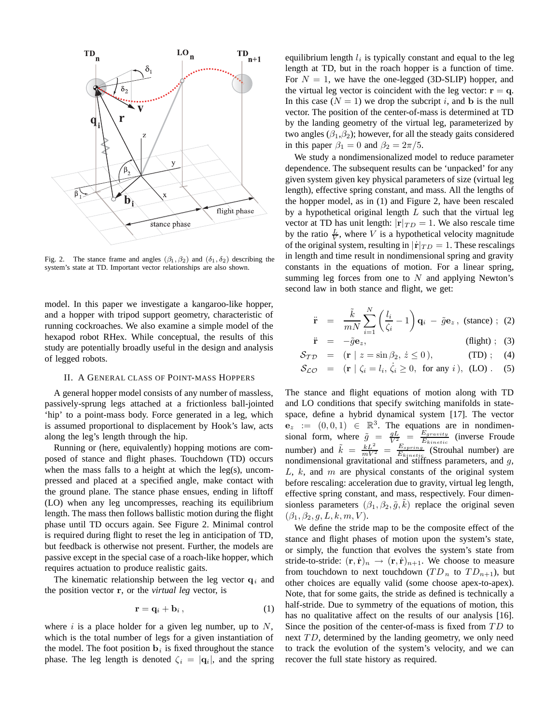

Fig. 2. The stance frame and angles  $(\beta_1, \beta_2)$  and  $(\delta_1, \delta_2)$  describing the system's state at TD. Important vector relationships are also shown.

model. In this paper we investigate a kangaroo-like hopper, and a hopper with tripod support geometry, characteristic of running cockroaches. We also examine a simple model of the hexapod robot RHex. While conceptual, the results of this study are potentially broadly useful in the design and analysis of legged robots.

## II. A GENERAL CLASS OF POINT-MASS HOPPERS

A general hopper model consists of any number of massless, passively-sprung legs attached at a frictionless ball-jointed 'hip' to a point-mass body. Force generated in a leg, which is assumed proportional to displacement by Hook's law, acts along the leg's length through the hip.

Running or (here, equivalently) hopping motions are composed of stance and flight phases. Touchdown (TD) occurs when the mass falls to a height at which the leg(s), uncompressed and placed at a specified angle, make contact with the ground plane. The stance phase ensues, ending in liftoff (LO) when any leg uncompresses, reaching its equilibrium length. The mass then follows ballistic motion during the flight phase until TD occurs again. See Figure 2. Minimal control is required during flight to reset the leg in anticipation of TD, but feedback is otherwise not present. Further, the models are passive except in the special case of a roach-like hopper, which requires actuation to produce realistic gaits.

The kinematic relationship between the leg vector  $q_i$  and the position vector **r**, or the *virtual leg* vector, is

$$
\mathbf{r} = \mathbf{q}_i + \mathbf{b}_i, \tag{1}
$$

where  $i$  is a place holder for a given leg number, up to  $N$ , which is the total number of legs for a given instantiation of the model. The foot position  $\mathbf{b}_i$  is fixed throughout the stance phase. The leg length is denoted  $\zeta_i = |\mathbf{q}_i|$ , and the spring equilibrium length <sup>l</sup>*<sup>i</sup>* is typically constant and equal to the leg length at TD, but in the roach hopper is a function of time. For  $N = 1$ , we have the one-legged (3D-SLIP) hopper, and the virtual leg vector is coincident with the leg vector:  $\mathbf{r} = \mathbf{q}$ . In this case  $(N = 1)$  we drop the subcript i, and **b** is the null vector. The position of the center-of-mass is determined at TD by the landing geometry of the virtual leg, parameterized by two angles  $(\beta_1, \beta_2)$ ; however, for all the steady gaits considered in this paper  $\beta_1 = 0$  and  $\beta_2 = 2\pi/5$ .

We study a nondimensionalized model to reduce parameter dependence. The subsequent results can be 'unpacked' for any given system given key physical parameters of size (virtual leg length), effective spring constant, and mass. All the lengths of the hopper model, as in (1) and Figure 2, have been rescaled by a hypothetical original length  $L$  such that the virtual leg vector at TD has unit length:  $|\mathbf{r}|_{TD} = 1$ . We also rescale time by the ratio  $\frac{L}{V}$ , where V is a hypothetical velocity magnitude<br>of the original system, resulting in  $|\mathbf{r}|_{\text{RDD}} = 1$ . These rescalings of the original system, resulting in  $|\dot{\mathbf{r}}|_{TD} = 1$ . These rescalings in length and time result in nondimensional spring and gravity constants in the equations of motion. For a linear spring, summing leg forces from one to  $N$  and applying Newton's second law in both stance and flight, we get:

$$
\ddot{\mathbf{r}} = \frac{\tilde{k}}{mN} \sum_{i=1}^{N} \left( \frac{l_i}{\zeta_i} - 1 \right) \mathbf{q}_i - \tilde{g} \mathbf{e}_z, \text{ (stance) ; (2)}
$$

$$
\ddot{\mathbf{r}} = -\tilde{g}\mathbf{e}_z, \qquad \text{(flight)} \; ; \; (3)
$$

$$
\mathcal{S}_{\mathcal{TD}} = (\mathbf{r} \mid z = \sin \beta_2, \, \dot{z} \le 0), \tag{TD}; \tag{4}
$$

$$
\mathcal{S}_{\mathcal{LO}} = (\mathbf{r} \mid \zeta_i = l_i, \dot{\zeta}_i \ge 0, \text{ for any } i), (\text{LO}) . (5)
$$

The stance and flight equations of motion along with TD and LO conditions that specify switching manifolds in statespace, define a hybrid dynamical system [17]. The vector  $e_z := (0, 0, 1) \in \mathbb{R}^3$ . The equations are in nondimensional form, where  $\tilde{g} = \frac{gL}{V^2} = \frac{E_{gravity}}{E_{kinetic}}$  (inverse Froude<br>number) and  $\tilde{k} = \frac{kL^2}{mV^2} = \frac{E_{spring}}{E_{kinetic}}$  (Strouhal number) are<br>nondimensional gravitational and stiffness parameters and *a* nondimensional gravitational and stiffness parameters, and g,  $L_k$  and  $m$  are physical constants of the original system  $L, k,$  and  $m$  are physical constants of the original system before rescaling: acceleration due to gravity, virtual leg length, effective spring constant, and mass, respectively. Four dimensionless parameters  $(\beta_1, \beta_2, \tilde{g}, \tilde{k})$  replace the original seven  $(\beta_1, \beta_2, a, L, k, m, V)$  $(\beta_1, \beta_2, g, L, k, m, V)$ .

We define the stride map to be the composite effect of the stance and flight phases of motion upon the system's state, or simply, the function that evolves the system's state from stride-to-stride:  $(\mathbf{r}, \dot{\mathbf{r}})_n \rightarrow (\mathbf{r}, \dot{\mathbf{r}})_{n+1}$ . We choose to measure from touchdown to next touchdown  $(T D_n$  to  $T D_{n+1}$ ), but other choices are equally valid (some choose apex-to-apex). Note, that for some gaits, the stride as defined is technically a half-stride. Due to symmetry of the equations of motion, this has no qualitative affect on the results of our analysis [16]. Since the position of the center-of-mass is fixed from  $TD$  to next  $TD$ , determined by the landing geometry, we only need to track the evolution of the system's velocity, and we can recover the full state history as required.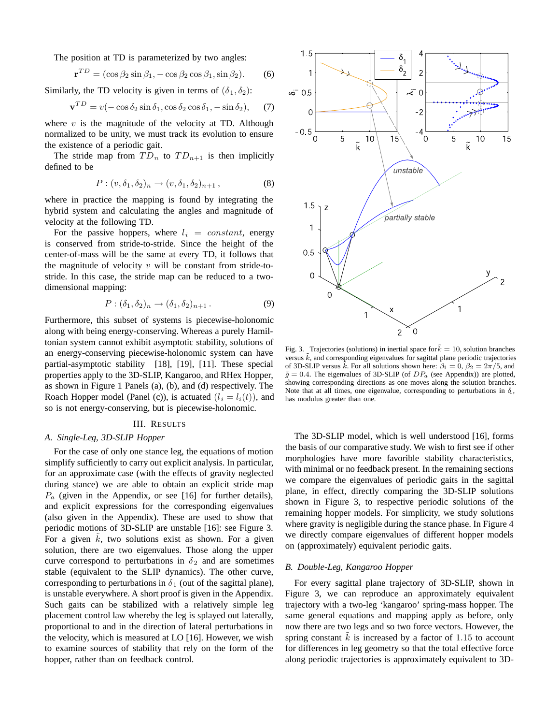The position at TD is parameterized by two angles:

$$
\mathbf{r}^{TD} = (\cos \beta_2 \sin \beta_1, -\cos \beta_2 \cos \beta_1, \sin \beta_2). \tag{6}
$$

Similarly, the TD velocity is given in terms of  $(\delta_1, \delta_2)$ :

$$
\mathbf{v}^{TD} = v(-\cos\delta_2\sin\delta_1, \cos\delta_2\cos\delta_1, -\sin\delta_2), \quad (7)
$$

where  $v$  is the magnitude of the velocity at TD. Although normalized to be unity, we must track its evolution to ensure the existence of a periodic gait.

The stride map from  $TD_n$  to  $TD_{n+1}$  is then implicitly defined to be

$$
P: (v, \delta_1, \delta_2)_n \to (v, \delta_1, \delta_2)_{n+1},
$$
\n(8)

where in practice the mapping is found by integrating the hybrid system and calculating the angles and magnitude of velocity at the following TD.

For the passive hoppers, where  $l_i = constant$ , energy is conserved from stride-to-stride. Since the height of the center-of-mass will be the same at every TD, it follows that the magnitude of velocity  $v$  will be constant from stride-tostride. In this case, the stride map can be reduced to a twodimensional mapping:

$$
P: (\delta_1, \delta_2)_n \to (\delta_1, \delta_2)_{n+1}.
$$
\n(9)

Furthermore, this subset of systems is piecewise-holonomic along with being energy-conserving. Whereas a purely Hamiltonian system cannot exhibit asymptotic stability, solutions of an energy-conserving piecewise-holonomic system can have partial-asymptotic stability [18], [19], [11]. These special properties apply to the 3D-SLIP, Kangaroo, and RHex Hopper, as shown in Figure 1 Panels (a), (b), and (d) respectively. The Roach Hopper model (Panel (c)), is actuated  $(l_i = l_i(t))$ , and so is not energy-conserving, but is piecewise-holonomic.

# III. RESULTS

# *A. Single-Leg, 3D-SLIP Hopper*

For the case of only one stance leg, the equations of motion simplify sufficiently to carry out explicit analysis. In particular, for an approximate case (with the effects of gravity neglected during stance) we are able to obtain an explicit stride map  $P_a$  (given in the Appendix, or see [16] for further details), and explicit expressions for the corresponding eigenvalues (also given in the Appendix). These are used to show that periodic motions of 3D-SLIP are unstable [16]: see Figure 3. For a given  $\tilde{k}$ , two solutions exist as shown. For a given<br>solution, there are two eigenvalues. Those along the upper solution, there are two eigenvalues. Those along the upper curve correspond to perturbations in  $\delta_2$  and are sometimes stable (equivalent to the SLIP dynamics). The other curve, corresponding to perturbations in  $\delta_1$  (out of the sagittal plane), is unstable everywhere. A short proof is given in the Appendix. Such gaits can be stabilized with a relatively simple leg placement control law whereby the leg is splayed out laterally, proportional to and in the direction of lateral perturbations in the velocity, which is measured at LO [16]. However, we wish to examine sources of stability that rely on the form of the hopper, rather than on feedback control.



Fig. 3. Trajectories (solutions) in inertial space for  $k = 10$ , solution branches versus  $k$ , and corresponding eigenvalues for sagittal plane periodic trajectories of 3D-SLIP versus k. For all solutions shown here:  $\beta_1 = 0$ ,  $\beta_2 = 2\pi/5$ , and  $\tilde{q} = 0.4$ . The eigenvalues of 3D-SLIP (of  $DP_a$  (see Appendix)) are plotted, showing corresponding directions as one moves along the solution branches. Note that at all times, one eigenvalue, corresponding to perturbations in  $\delta$ , has modulus greater than one.

The 3D-SLIP model, which is well understood [16], forms the basis of our comparative study. We wish to first see if other morphologies have more favorible stability characteristics, with minimal or no feedback present. In the remaining sections we compare the eigenvalues of periodic gaits in the sagittal plane, in effect, directly comparing the 3D-SLIP solutions shown in Figure 3, to respective periodic solutions of the remaining hopper models. For simplicity, we study solutions where gravity is negligible during the stance phase. In Figure 4 we directly compare eigenvalues of different hopper models on (approximately) equivalent periodic gaits.

## *B. Double-Leg, Kangaroo Hopper*

For every sagittal plane trajectory of 3D-SLIP, shown in Figure 3, we can reproduce an approximately equivalent trajectory with a two-leg 'kangaroo' spring-mass hopper. The same general equations and mapping apply as before, only now there are two legs and so two force vectors. However, the spring constant  $\tilde{k}$  is increased by a factor of 1.15 to account<br>for differences in leg geometry so that the total effective force for differences in leg geometry so that the total effective force along periodic trajectories is approximately equivalent to 3D-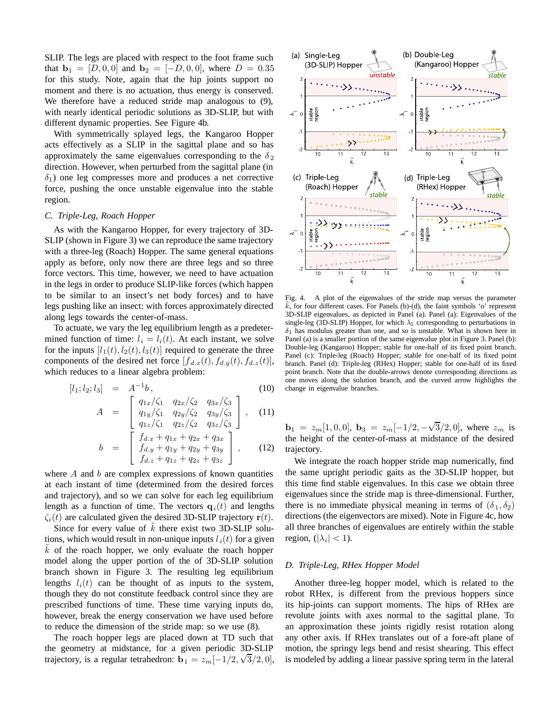SLIP. The legs are placed with respect to the foot frame such that  $\mathbf{b}_1 = [D, 0, 0]$  and  $\mathbf{b}_2 = [-D, 0, 0]$ , where  $D = 0.35$ for this study. Note, again that the hip joints support no moment and there is no actuation, thus energy is conserved. We therefore have a reduced stride map analogous to (9), with nearly identical periodic solutions as 3D-SLIP, but with different dynamic properties. See Figure 4b.

With symmetrically splayed legs, the Kangaroo Hopper acts effectively as a SLIP in the sagittal plane and so has approximately the same eigenvalues corresponding to the  $\delta_2$ direction. However, when perturbed from the sagittal plane (in  $\delta_1$ ) one leg compresses more and produces a net corrective force, pushing the once unstable eigenvalue into the stable region.

## *C. Triple-Leg, Roach Hopper*

As with the Kangaroo Hopper, for every trajectory of 3D-SLIP (shown in Figure 3) we can reproduce the same trajectory with a three-leg (Roach) Hopper. The same general equations apply as before, only now there are three legs and so three force vectors. This time, however, we need to have actuation in the legs in order to produce SLIP-like forces (which happen to be similar to an insect's net body forces) and to have legs pushing like an insect: with forces approximately directed along legs towards the center-of-mass.

To actuate, we vary the leg equilibrium length as a predetermined function of time:  $l_i = l_i(t)$ . At each instant, we solve for the inputs  $[l_1(t), l_2(t), l_3(t)]$  required to generate the three components of the desired net force  $[f_{d.x}(t), f_{d.y}(t), f_{d.z}(t)]$ , which reduces to a linear algebra problem:

$$
[l_1; l_2; l_3] = A^{-1}b, \tag{10}
$$

$$
A = \begin{bmatrix} q_{1x}/\zeta_1 & q_{2x}/\zeta_2 & q_{3x}/\zeta_3 \\ q_{1y}/\zeta_1 & q_{2y}/\zeta_2 & q_{3y}/\zeta_3 \\ q_{1x}/\zeta_1 & q_{2x}/\zeta_2 & q_{3x}/\zeta_3 \end{bmatrix}, \quad (11)
$$

$$
b = \begin{bmatrix} q_{1z}/\zeta_1 & q_{2z}/\zeta_2 & q_{3z}/\zeta_3 \\ f_{d.x} + q_{1x} + q_{2x} + q_{3x} \\ f_{d.y} + q_{1y} + q_{2y} + q_{3y} \\ f_{d.z} + q_{1z} + q_{2z} + q_{3z} \end{bmatrix},
$$
(12)

where  $A$  and  $b$  are complex expressions of known quantities at each instant of time (determined from the desired forces and trajectory), and so we can solve for each leg equilibrium length as a function of time. The vectors  $q_i(t)$  and lengths  $\zeta_i(t)$  are calculated given the desired 3D-SLIP trajectory  $\mathbf{r}(t)$ .

Since for every value of  $\tilde{k}$  there exist two 3D-SLIP solu-<br>ns, which would result in non-unique inputs  $l_1(t)$  for a given tions, which would result in non-unique inputs  $l_i(t)$  for a given  $k$  of the roach hopper, we only evaluate the roach hopper model along the upper portion of the of 3D-SLIP solution branch shown in Figure 3. The resulting leg equilibrium lengths  $l_i(t)$  can be thought of as inputs to the system, though they do not constitute feedback control since they are prescribed functions of time. These time varying inputs do, however, break the energy conservation we have used before to reduce the dimension of the stride map: so we use (8).

The roach hopper legs are placed down at TD such that the geometry at midstance, for a given periodic 3D-SLIP trajectory, is a regular tetrahedron: **b**<sub>1</sub> =  $z_m[-1/2, \sqrt{3}/2, 0]$ ,



Fig. 4. A plot of the eigenvalues of the stride map versus the parameter  $\tilde{k}$ , for four different cases. For Panels (b)-(d), the faint symbols 'o' represent 3D-SLIP eigenvalues, as depicted in Panel (a). Panel (a): Eigenvalues of the single-leg (3D-SLIP) Hopper, for which  $\lambda_1$  corresponding to perturbations in  $\delta_1$  has modulus greater than one, and so is unstable. What is shown here in Panel (a) is a smaller portion of the same eigenvalue plot in Figure 3. Panel (b): Double-leg (Kangaroo) Hopper; stable for one-half of its fixed point branch. Panel (c): Triple-leg (Roach) Hopper; stable for one-half of its fixed point branch. Panel (d): Triple-leg (RHex) Hopper; stable for one-half of its fixed point branch. Note that the double-arrows denote corresponding directions as one moves along the solution branch, and the curved arrow highlights the change in eigenvalue branches.

 **where**  $z<sub>m</sub>$  **is** the height of the center-of-mass at midstance of the desired trajectory.

We integrate the roach hopper stride map numerically, find the same upright periodic gaits as the 3D-SLIP hopper, but this time find stable eigenvalues. In this case we obtain three eigenvalues since the stride map is three-dimensional. Further, there is no immediate physical meaning in terms of  $(\delta_1, \delta_2)$ directions (the eigenvectors are mixed). Note in Figure 4c, how all three branches of eigenvalues are entirely within the stable region,  $(|\lambda_i| < 1)$ .

## *D. Triple-Leg, RHex Hopper Model*

Another three-leg hopper model, which is related to the robot RHex, is different from the previous hoppers since its hip-joints can support moments. The hips of RHex are revolute joints with axes normal to the sagittal plane. To an approximation these joints rigidly resist rotation along any other axis. If RHex translates out of a fore-aft plane of motion, the springy legs bend and resist shearing. This effect is modeled by adding a linear passive spring term in the lateral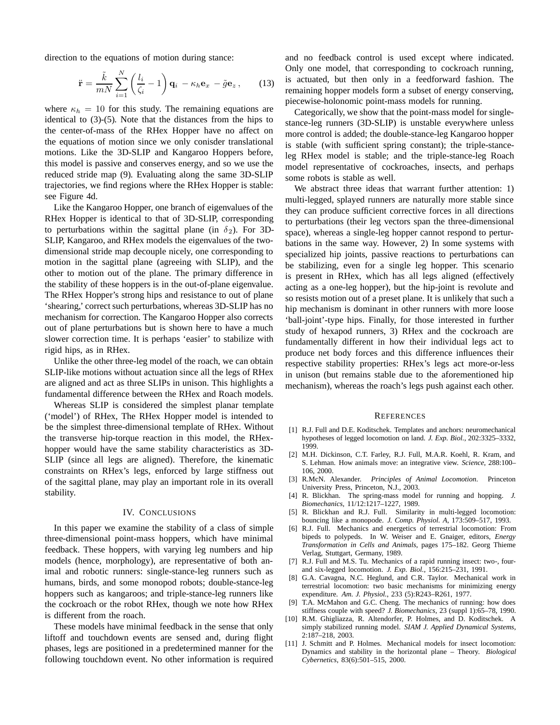direction to the equations of motion during stance:

$$
\ddot{\mathbf{r}} = \frac{\tilde{k}}{mN} \sum_{i=1}^{N} \left( \frac{l_i}{\zeta_i} - 1 \right) \mathbf{q}_i - \kappa_h \mathbf{e}_x - \tilde{g} \mathbf{e}_z, \qquad (13)
$$

where  $\kappa_h = 10$  for this study. The remaining equations are identical to (3)-(5). Note that the distances from the hips to the center-of-mass of the RHex Hopper have no affect on the equations of motion since we only conisder translational motions. Like the 3D-SLIP and Kangaroo Hoppers before, this model is passive and conserves energy, and so we use the reduced stride map (9). Evaluating along the same 3D-SLIP trajectories, we find regions where the RHex Hopper is stable: see Figure 4d.

Like the Kangaroo Hopper, one branch of eigenvalues of the RHex Hopper is identical to that of 3D-SLIP, corresponding to perturbations within the sagittal plane (in  $\delta_2$ ). For 3D-SLIP, Kangaroo, and RHex models the eigenvalues of the twodimensional stride map decouple nicely, one corresponding to motion in the sagittal plane (agreeing with SLIP), and the other to motion out of the plane. The primary difference in the stability of these hoppers is in the out-of-plane eigenvalue. The RHex Hopper's strong hips and resistance to out of plane 'shearing,' correct such perturbations, whereas 3D-SLIP has no mechanism for correction. The Kangaroo Hopper also corrects out of plane perturbations but is shown here to have a much slower correction time. It is perhaps 'easier' to stabilize with rigid hips, as in RHex.

Unlike the other three-leg model of the roach, we can obtain SLIP-like motions without actuation since all the legs of RHex are aligned and act as three SLIPs in unison. This highlights a fundamental difference between the RHex and Roach models.

Whereas SLIP is considered the simplest planar template ('model') of RHex, The RHex Hopper model is intended to be the simplest three-dimensional template of RHex. Without the transverse hip-torque reaction in this model, the RHexhopper would have the same stability characteristics as 3D-SLIP (since all legs are aligned). Therefore, the kinematic constraints on RHex's legs, enforced by large stiffness out of the sagittal plane, may play an important role in its overall stability.

## IV. CONCLUSIONS

In this paper we examine the stability of a class of simple three-dimensional point-mass hoppers, which have minimal feedback. These hoppers, with varying leg numbers and hip models (hence, morphology), are representative of both animal and robotic runners: single-stance-leg runners such as humans, birds, and some monopod robots; double-stance-leg hoppers such as kangaroos; and triple-stance-leg runners like the cockroach or the robot RHex, though we note how RHex is different from the roach.

These models have minimal feedback in the sense that only liftoff and touchdown events are sensed and, during flight phases, legs are positioned in a predetermined manner for the following touchdown event. No other information is required and no feedback control is used except where indicated. Only one model, that corresponding to cockroach running, is actuated, but then only in a feedforward fashion. The remaining hopper models form a subset of energy conserving, piecewise-holonomic point-mass models for running.

Categorically, we show that the point-mass model for singlestance-leg runners (3D-SLIP) is unstable everywhere unless more control is added; the double-stance-leg Kangaroo hopper is stable (with sufficient spring constant); the triple-stanceleg RHex model is stable; and the triple-stance-leg Roach model representative of cockroaches, insects, and perhaps some robots is stable as well.

We abstract three ideas that warrant further attention: 1) multi-legged, splayed runners are naturally more stable since they can produce sufficient corrective forces in all directions to perturbations (their leg vectors span the three-dimensional space), whereas a single-leg hopper cannot respond to perturbations in the same way. However, 2) In some systems with specialized hip joints, passive reactions to perturbations can be stabilizing, even for a single leg hopper. This scenario is present in RHex, which has all legs aligned (effectively acting as a one-leg hopper), but the hip-joint is revolute and so resists motion out of a preset plane. It is unlikely that such a hip mechanism is dominant in other runners with more loose 'ball-joint'-type hips. Finally, for those interested in further study of hexapod runners, 3) RHex and the cockroach are fundamentally different in how their individual legs act to produce net body forces and this difference influences their respective stability properties: RHex's legs act more-or-less in unison (but remains stable due to the aforementioned hip mechanism), whereas the roach's legs push against each other.

### **REFERENCES**

- [1] R.J. Full and D.E. Koditschek. Templates and anchors: neuromechanical hypotheses of legged locomotion on land. *J. Exp. Biol.*, 202:3325–3332, 1999.
- [2] M.H. Dickinson, C.T. Farley, R.J. Full, M.A.R. Koehl, R. Kram, and S. Lehman. How animals move: an integrative view. *Science*, 288:100– 106, 2000.
- [3] R.McN. Alexander. *Principles of Animal Locomotion*. Princeton University Press, Princeton, N.J., 2003.
- [4] R. Blickhan. The spring-mass model for running and hopping. *J. Biomechanics*, 11/12:1217–1227, 1989.
- [5] R. Blickhan and R.J. Full. Similarity in multi-legged locomotion: bouncing like a monopode. *J. Comp. Physiol. A*, 173:509–517, 1993.
- [6] R.J. Full. Mechanics and energetics of terrestrial locomotion: From bipeds to polypeds. In W. Weiser and E. Gnaiger, editors, *Energy Transformation in Cells and Animals*, pages 175–182. Georg Thieme Verlag, Stuttgart, Germany, 1989.
- [7] R.J. Full and M.S. Tu. Mechanics of a rapid running insect: two-, fourand six-legged locomotion. *J. Exp. Biol.*, 156:215–231, 1991.
- [8] G.A. Cavagna, N.C. Heglund, and C.R. Taylor. Mechanical work in terrestrial locomotion: two basic mechanisms for minimizing energy expenditure. *Am. J. Physiol.*, 233 (5):R243–R261, 1977.
- [9] T.A. McMahon and G.C. Cheng. The mechanics of running: how does stiffness couple with speed? *J. Biomechanics*, 23 (suppl 1):65–78, 1990.
- [10] R.M. Ghigliazza, R. Altendorfer, P. Holmes, and D. Koditschek. A simply stabilized running model. *SIAM J. Applied Dynamical Systems*, 2:187–218, 2003.
- [11] J. Schmitt and P. Holmes. Mechanical models for insect locomotion: Dynamics and stability in the horizontal plane – Theory. *Biological Cybernetics*, 83(6):501–515, 2000.